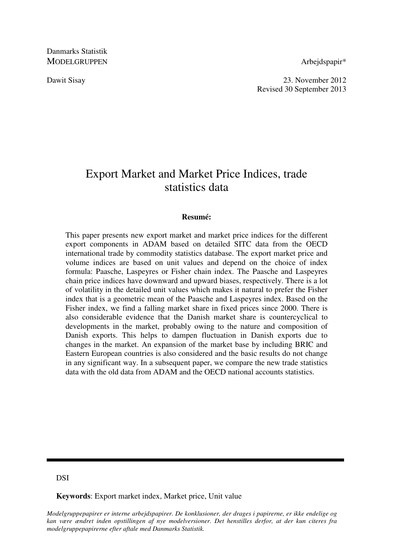Danmarks Statistik MODELGRUPPEN Arbeidspapir\*

Dawit Sisay 23. November 2012 Revised 30 September 2013

# Export Market and Market Price Indices, trade statistics data

# **Resumé:**

This paper presents new export market and market price indices for the different export components in ADAM based on detailed SITC data from the OECD international trade by commodity statistics database. The export market price and volume indices are based on unit values and depend on the choice of index formula: Paasche, Laspeyres or Fisher chain index. The Paasche and Laspeyres chain price indices have downward and upward biases, respectively. There is a lot of volatility in the detailed unit values which makes it natural to prefer the Fisher index that is a geometric mean of the Paasche and Laspeyres index. Based on the Fisher index, we find a falling market share in fixed prices since 2000. There is also considerable evidence that the Danish market share is countercyclical to developments in the market, probably owing to the nature and composition of Danish exports. This helps to dampen fluctuation in Danish exports due to changes in the market. An expansion of the market base by including BRIC and Eastern European countries is also considered and the basic results do not change in any significant way. In a subsequent paper, we compare the new trade statistics data with the old data from ADAM and the OECD national accounts statistics.

# **DSI**

**Keywords**: Export market index, Market price, Unit value

*Modelgruppepapirer er interne arbejdspapirer. De konklusioner, der drages i papirerne, er ikke endelige og kan være ændret inden opstillingen af nye modelversioner. Det henstilles derfor, at der kun citeres fra modelgruppepapirerne efter aftale med Danmarks Statistik.*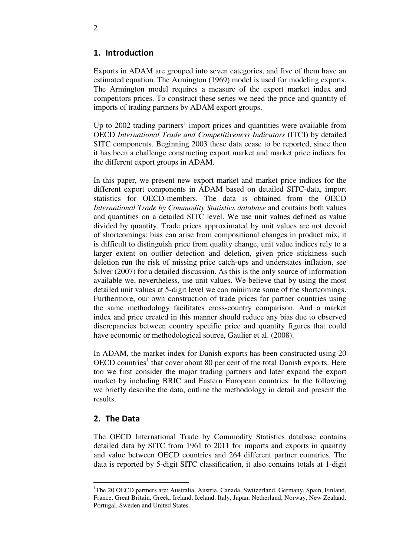# 1. Introduction

Exports in ADAM are grouped into seven categories, and five of them have an estimated equation. The Armington (1969) model is used for modeling exports. The Armington model requires a measure of the export market index and competitors prices. To construct these series we need the price and quantity of imports of trading partners by ADAM export groups.

Up to 2002 trading partners' import prices and quantities were available from OECD *International Trade and Competitiveness Indicators* (ITCI) by detailed SITC components. Beginning 2003 these data cease to be reported, since then it has been a challenge constructing export market and market price indices for the different export groups in ADAM.

In this paper, we present new export market and market price indices for the different export components in ADAM based on detailed SITC-data, import statistics for OECD-members. The data is obtained from the OECD *International Trade by Commodity Statistics database* and contains both values and quantities on a detailed SITC level. We use unit values defined as value divided by quantity. Trade prices approximated by unit values are not devoid of shortcomings: bias can arise from compositional changes in product mix, it is difficult to distinguish price from quality change, unit value indices rely to a larger extent on outlier detection and deletion, given price stickiness such deletion run the risk of missing price catch-ups and understates inflation, see Silver (2007) for a detailed discussion. As this is the only source of information available we, nevertheless, use unit values. We believe that by using the most detailed unit values at 5-digit level we can minimize some of the shortcomings. Furthermore, our own construction of trade prices for partner countries using the same methodology facilitates cross-country comparison. And a market index and price created in this manner should reduce any bias due to observed discrepancies between country specific price and quantity figures that could have economic or methodological source, Gaulier et al. (2008).

In ADAM, the market index for Danish exports has been constructed using 20 OECD countries<sup>1</sup> that cover about 80 per cent of the total Danish exports. Here too we first consider the major trading partners and later expand the export market by including BRIC and Eastern European countries. In the following we briefly describe the data, outline the methodology in detail and present the results.

# 2. The Data

-

The OECD International Trade by Commodity Statistics database contains detailed data by SITC from 1961 to 2011 for imports and exports in quantity and value between OECD countries and 264 different partner countries. The data is reported by 5-digit SITC classification, it also contains totals at 1-digit

<sup>&</sup>lt;sup>1</sup>The 20 OECD partners are: Australia, Austria, Canada, Switzerland, Germany, Spain, Finland, France, Great Britain, Greek, Ireland, Iceland, Italy, Japan, Netherland, Norway, New Zealand, Portugal, Sweden and United States.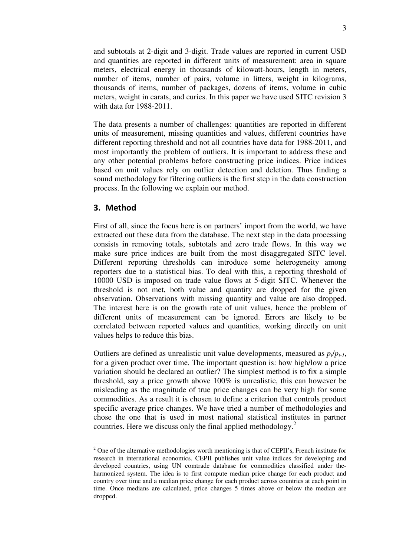and subtotals at 2-digit and 3-digit. Trade values are reported in current USD and quantities are reported in different units of measurement: area in square meters, electrical energy in thousands of kilowatt-hours, length in meters, number of items, number of pairs, volume in litters, weight in kilograms, thousands of items, number of packages, dozens of items, volume in cubic meters, weight in carats, and curies. In this paper we have used SITC revision 3 with data for 1988-2011.

The data presents a number of challenges: quantities are reported in different units of measurement, missing quantities and values, different countries have different reporting threshold and not all countries have data for 1988-2011, and most importantly the problem of outliers. It is important to address these and any other potential problems before constructing price indices. Price indices based on unit values rely on outlier detection and deletion. Thus finding a sound methodology for filtering outliers is the first step in the data construction process. In the following we explain our method.

# 3. Method

-

First of all, since the focus here is on partners' import from the world, we have extracted out these data from the database. The next step in the data processing consists in removing totals, subtotals and zero trade flows. In this way we make sure price indices are built from the most disaggregated SITC level. Different reporting thresholds can introduce some heterogeneity among reporters due to a statistical bias. To deal with this, a reporting threshold of 10000 USD is imposed on trade value flows at 5-digit SITC. Whenever the threshold is not met, both value and quantity are dropped for the given observation. Observations with missing quantity and value are also dropped. The interest here is on the growth rate of unit values, hence the problem of different units of measurement can be ignored. Errors are likely to be correlated between reported values and quantities, working directly on unit values helps to reduce this bias.

Outliers are defined as unrealistic unit value developments, measured as  $p_t/p_{t-1}$ , for a given product over time. The important question is: how high/low a price variation should be declared an outlier? The simplest method is to fix a simple threshold, say a price growth above 100% is unrealistic, this can however be misleading as the magnitude of true price changes can be very high for some commodities. As a result it is chosen to define a criterion that controls product specific average price changes. We have tried a number of methodologies and chose the one that is used in most national statistical institutes in partner countries. Here we discuss only the final applied methodology. $2$ 

 $2^2$  One of the alternative methodologies worth mentioning is that of CEPII's, French institute for research in international economics. CEPII publishes unit value indices for developing and developed countries, using UN comtrade database for commodities classified under theharmonized system. The idea is to first compute median price change for each product and country over time and a median price change for each product across countries at each point in time. Once medians are calculated, price changes 5 times above or below the median are dropped.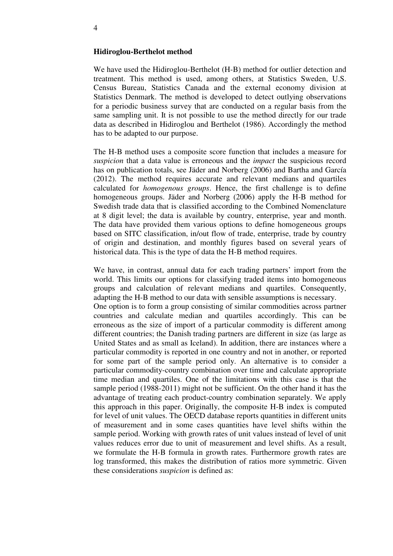#### **Hidiroglou-Berthelot method**

We have used the Hidiroglou-Berthelot (H-B) method for outlier detection and treatment. This method is used, among others, at Statistics Sweden, U.S. Census Bureau, Statistics Canada and the external economy division at Statistics Denmark. The method is developed to detect outlying observations for a periodic business survey that are conducted on a regular basis from the same sampling unit. It is not possible to use the method directly for our trade data as described in Hidiroglou and Berthelot (1986). Accordingly the method has to be adapted to our purpose.

The H-B method uses a composite score function that includes a measure for *suspicion* that a data value is erroneous and the *impact* the suspicious record has on publication totals, see Jäder and Norberg (2006) and Bartha and García (2012). The method requires accurate and relevant medians and quartiles calculated for *homogenous groups*. Hence, the first challenge is to define homogeneous groups. Jäder and Norberg (2006) apply the H-B method for Swedish trade data that is classified according to the Combined Nomenclature at 8 digit level; the data is available by country, enterprise, year and month. The data have provided them various options to define homogeneous groups based on SITC classification, in/out flow of trade, enterprise, trade by country of origin and destination, and monthly figures based on several years of historical data. This is the type of data the H-B method requires.

We have, in contrast, annual data for each trading partners' import from the world. This limits our options for classifying traded items into homogeneous groups and calculation of relevant medians and quartiles. Consequently, adapting the H-B method to our data with sensible assumptions is necessary. One option is to form a group consisting of similar commodities across partner countries and calculate median and quartiles accordingly. This can be erroneous as the size of import of a particular commodity is different among different countries; the Danish trading partners are different in size (as large as United States and as small as Iceland). In addition, there are instances where a particular commodity is reported in one country and not in another, or reported for some part of the sample period only. An alternative is to consider a particular commodity-country combination over time and calculate appropriate time median and quartiles. One of the limitations with this case is that the sample period (1988-2011) might not be sufficient. On the other hand it has the advantage of treating each product-country combination separately. We apply this approach in this paper. Originally, the composite H-B index is computed for level of unit values. The OECD database reports quantities in different units of measurement and in some cases quantities have level shifts within the sample period. Working with growth rates of unit values instead of level of unit values reduces error due to unit of measurement and level shifts. As a result, we formulate the H-B formula in growth rates. Furthermore growth rates are log transformed, this makes the distribution of ratios more symmetric. Given these considerations *suspicion* is defined as: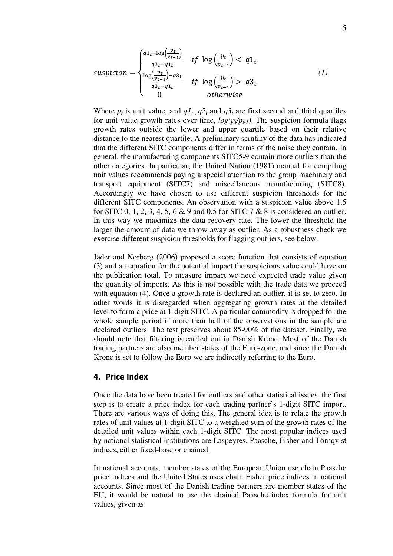$$
suspicion = \begin{cases} \frac{q1_t - \log(\frac{pt}{pt-1})}{q3_t - q1_t} & \text{if } \log(\frac{pt}{pt-1}) < q1_t\\ \frac{\log(\frac{pt}{pt-1}) - q3_t}{q3_t - q1_t} & \text{if } \log(\frac{pt}{pt-1}) > q3_t\\ 0 & \text{otherwise} \end{cases} \tag{1}
$$

Where  $p_t$  is unit value, and  $q_l t$ ,  $q_l t$  and  $q_l t$  are first second and third quartiles for unit value growth rates over time,  $log(p_{\ell}/p_{\ell-1})$ . The suspicion formula flags growth rates outside the lower and upper quartile based on their relative distance to the nearest quartile. A preliminary scrutiny of the data has indicated that the different SITC components differ in terms of the noise they contain. In general, the manufacturing components SITC5-9 contain more outliers than the other categories. In particular, the United Nation (1981) manual for compiling unit values recommends paying a special attention to the group machinery and transport equipment (SITC7) and miscellaneous manufacturing (SITC8). Accordingly we have chosen to use different suspicion thresholds for the different SITC components. An observation with a suspicion value above 1.5 for SITC 0, 1, 2, 3, 4, 5, 6  $\&$  9 and 0.5 for SITC 7  $\&$  8 is considered an outlier. In this way we maximize the data recovery rate. The lower the threshold the larger the amount of data we throw away as outlier. As a robustness check we exercise different suspicion thresholds for flagging outliers, see below.

Jäder and Norberg (2006) proposed a score function that consists of equation (3) and an equation for the potential impact the suspicious value could have on the publication total. To measure impact we need expected trade value given the quantity of imports. As this is not possible with the trade data we proceed with equation (4). Once a growth rate is declared an outlier, it is set to zero. In other words it is disregarded when aggregating growth rates at the detailed level to form a price at 1-digit SITC. A particular commodity is dropped for the whole sample period if more than half of the observations in the sample are declared outliers. The test preserves about 85-90% of the dataset. Finally, we should note that filtering is carried out in Danish Krone. Most of the Danish trading partners are also member states of the Euro-zone, and since the Danish Krone is set to follow the Euro we are indirectly referring to the Euro.

# 4. Price Index

Once the data have been treated for outliers and other statistical issues, the first step is to create a price index for each trading partner's 1-digit SITC import. There are various ways of doing this. The general idea is to relate the growth rates of unit values at 1-digit SITC to a weighted sum of the growth rates of the detailed unit values within each 1-digit SITC. The most popular indices used by national statistical institutions are Laspeyres, Paasche, Fisher and Törnqvist indices, either fixed-base or chained.

In national accounts, member states of the European Union use chain Paasche price indices and the United States uses chain Fisher price indices in national accounts. Since most of the Danish trading partners are member states of the EU, it would be natural to use the chained Paasche index formula for unit values, given as: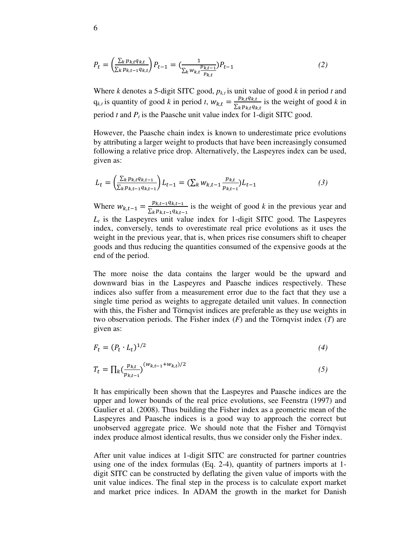$$
P_t = \left(\frac{\sum_{k} p_{k,t} q_{k,t}}{\sum_{k} p_{k,t-1} q_{k,t}}\right) P_{t-1} = \left(\frac{1}{\sum_{k} w_{k,t} \frac{p_{k,t-1}}{p_{k,t}}}\right) P_{t-1} \tag{2}
$$

Where *k* denotes a 5-digit SITC good,  $p_{k,t}$  is unit value of good *k* in period *t* and  $q_{k,t}$  is quantity of good *k* in period *t*,  $W_{k,t} = \frac{p_{k,t}q_{k,t}}{\sum_{k} p_{k,t}q_{k,t}}$  $\frac{P_{k,t}q_{k,t}}{\sum_{k}p_{k,t}q_{k,t}}$  is the weight of good *k* in period *t* and *P<sup>t</sup>* is the Paasche unit value index for 1-digit SITC good.

However, the Paasche chain index is known to underestimate price evolutions by attributing a larger weight to products that have been increasingly consumed following a relative price drop. Alternatively, the Laspeyres index can be used, given as:

$$
L_t = \left(\frac{\sum_{k} p_{k,t} q_{k,t-1}}{\sum_{k} p_{k,t-1} q_{k,t-1}}\right) L_{t-1} = \left(\sum_{k} w_{k,t-1} \frac{p_{k,t}}{p_{k,t-1}}\right) L_{t-1}
$$
\n(3)

Where  $W_{k,t-1} = \frac{p_{k,t-1}q_{k,t-1}}{\sum_{k} p_{k,t-1}q_{k,t-1}}$  $\frac{p_{k,t-1}q_{k,t-1}}{\sum_{k} p_{k,t-1}q_{k,t-1}}$  is the weight of good *k* in the previous year and  $L_t$  is the Laspeyres unit value index for 1-digit SITC good. The Laspeyres index, conversely, tends to overestimate real price evolutions as it uses the weight in the previous year, that is, when prices rise consumers shift to cheaper goods and thus reducing the quantities consumed of the expensive goods at the end of the period.

The more noise the data contains the larger would be the upward and downward bias in the Laspeyres and Paasche indices respectively. These indices also suffer from a measurement error due to the fact that they use a single time period as weights to aggregate detailed unit values. In connection with this, the Fisher and Törnqvist indices are preferable as they use weights in two observation periods. The Fisher index (*F*) and the Törnqvist index (*T*) are given as:

$$
F_t = (P_t \cdot L_t)^{1/2} \tag{4}
$$

$$
T_t = \prod_k \left(\frac{p_{k,t}}{p_{k,t-1}}\right)^{(w_{k,t-1} + w_{k,t})/2} \tag{5}
$$

It has empirically been shown that the Laspeyres and Paasche indices are the upper and lower bounds of the real price evolutions, see Feenstra (1997) and Gaulier et al. (2008). Thus building the Fisher index as a geometric mean of the Laspeyres and Paasche indices is a good way to approach the correct but unobserved aggregate price. We should note that the Fisher and Törnqvist index produce almost identical results, thus we consider only the Fisher index.

After unit value indices at 1-digit SITC are constructed for partner countries using one of the index formulas (Eq. 2-4), quantity of partners imports at 1 digit SITC can be constructed by deflating the given value of imports with the unit value indices. The final step in the process is to calculate export market and market price indices. In ADAM the growth in the market for Danish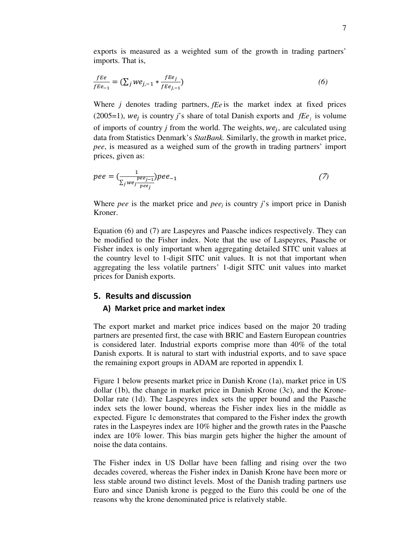exports is measured as a weighted sum of the growth in trading partners' imports. That is,

$$
\frac{fEe}{fEe_{-1}} = \left(\sum_{j} we_{j,-1} * \frac{fEe_j}{fEe_{j,-1}}\right) \tag{6}
$$

Where *j* denotes trading partners, *fEe* is the market index at fixed prices (2005=1),  $we_j$  is country *j*'s share of total Danish exports and  $fEe_j$  is volume of imports of country *j* from the world. The weights,  $we_j$ , are calculated using data from Statistics Denmark's *StatBank.* Similarly, the growth in market price, *pee*, is measured as a weighed sum of the growth in trading partners' import prices, given as:

$$
pee = \left(\frac{1}{\sum_{j} we_{j}}\right) pee_{-1} \tag{7}
$$

Where *pee* is the market price and *peej* is country *j*'s import price in Danish Kroner.

Equation (6) and (7) are Laspeyres and Paasche indices respectively. They can be modified to the Fisher index. Note that the use of Laspeyres, Paasche or Fisher index is only important when aggregating detailed SITC unit values at the country level to 1-digit SITC unit values. It is not that important when aggregating the less volatile partners' 1-digit SITC unit values into market prices for Danish exports.

# 5. Results and discussion

# A) Market price and market index

The export market and market price indices based on the major 20 trading partners are presented first, the case with BRIC and Eastern European countries is considered later. Industrial exports comprise more than 40% of the total Danish exports. It is natural to start with industrial exports, and to save space the remaining export groups in ADAM are reported in appendix I.

Figure 1 below presents market price in Danish Krone (1a), market price in US dollar (1b), the change in market price in Danish Krone (3c), and the Krone-Dollar rate (1d). The Laspeyres index sets the upper bound and the Paasche index sets the lower bound, whereas the Fisher index lies in the middle as expected. Figure 1c demonstrates that compared to the Fisher index the growth rates in the Laspeyres index are 10% higher and the growth rates in the Paasche index are 10% lower. This bias margin gets higher the higher the amount of noise the data contains.

The Fisher index in US Dollar have been falling and rising over the two decades covered, whereas the Fisher index in Danish Krone have been more or less stable around two distinct levels. Most of the Danish trading partners use Euro and since Danish krone is pegged to the Euro this could be one of the reasons why the krone denominated price is relatively stable.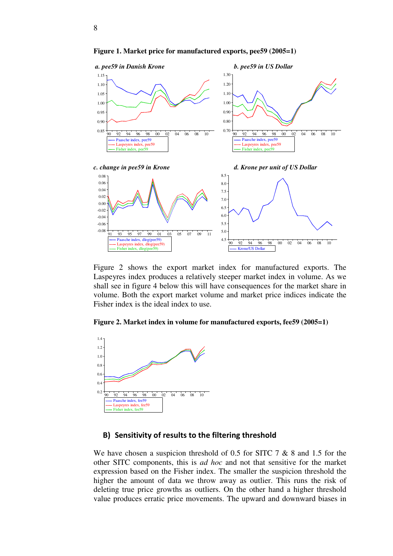

**Figure 1. Market price for manufactured exports, pee59 (2005=1)** 

Figure 2 shows the export market index for manufactured exports. The Laspeyres index produces a relatively steeper market index in volume. As we shall see in figure 4 below this will have consequences for the market share in volume. Both the export market volume and market price indices indicate the Fisher index is the ideal index to use.





# B) Sensitivity of results to the filtering threshold

We have chosen a suspicion threshold of 0.5 for SITC 7 & 8 and 1.5 for the other SITC components, this is *ad hoc* and not that sensitive for the market expression based on the Fisher index. The smaller the suspicion threshold the higher the amount of data we throw away as outlier. This runs the risk of deleting true price growths as outliers. On the other hand a higher threshold value produces erratic price movements. The upward and downward biases in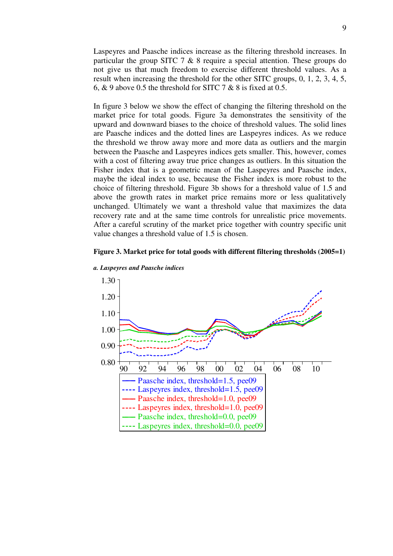Laspeyres and Paasche indices increase as the filtering threshold increases. In particular the group SITC 7  $\&$  8 require a special attention. These groups do not give us that much freedom to exercise different threshold values. As a result when increasing the threshold for the other SITC groups, 0, 1, 2, 3, 4, 5, 6,  $\&$  9 above 0.5 the threshold for SITC 7  $\&$  8 is fixed at 0.5.

In figure 3 below we show the effect of changing the filtering threshold on the market price for total goods. Figure 3a demonstrates the sensitivity of the upward and downward biases to the choice of threshold values. The solid lines are Paasche indices and the dotted lines are Laspeyres indices. As we reduce the threshold we throw away more and more data as outliers and the margin between the Paasche and Laspeyres indices gets smaller. This, however, comes with a cost of filtering away true price changes as outliers. In this situation the Fisher index that is a geometric mean of the Laspeyres and Paasche index, maybe the ideal index to use, because the Fisher index is more robust to the choice of filtering threshold. Figure 3b shows for a threshold value of 1.5 and above the growth rates in market price remains more or less qualitatively unchanged. Ultimately we want a threshold value that maximizes the data recovery rate and at the same time controls for unrealistic price movements. After a careful scrutiny of the market price together with country specific unit value changes a threshold value of 1.5 is chosen.

#### **Figure 3. Market price for total goods with different filtering thresholds (2005=1)**



*a. Laspeyres and Paasche indices*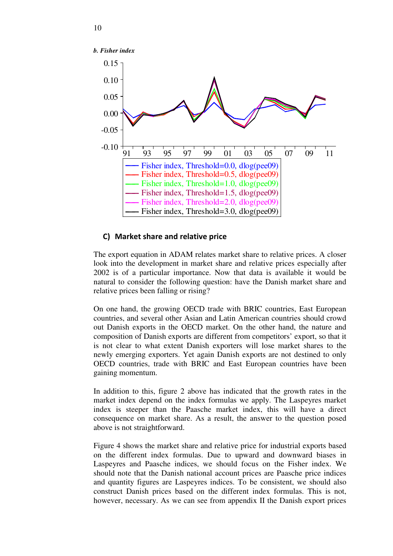

## C) Market share and relative price

The export equation in ADAM relates market share to relative prices. A closer look into the development in market share and relative prices especially after 2002 is of a particular importance. Now that data is available it would be natural to consider the following question: have the Danish market share and relative prices been falling or rising?

On one hand, the growing OECD trade with BRIC countries, East European countries, and several other Asian and Latin American countries should crowd out Danish exports in the OECD market. On the other hand, the nature and composition of Danish exports are different from competitors' export, so that it is not clear to what extent Danish exporters will lose market shares to the newly emerging exporters. Yet again Danish exports are not destined to only OECD countries, trade with BRIC and East European countries have been gaining momentum.

In addition to this, figure 2 above has indicated that the growth rates in the market index depend on the index formulas we apply. The Laspeyres market index is steeper than the Paasche market index, this will have a direct consequence on market share. As a result, the answer to the question posed above is not straightforward.

Figure 4 shows the market share and relative price for industrial exports based on the different index formulas. Due to upward and downward biases in Laspeyres and Paasche indices, we should focus on the Fisher index. We should note that the Danish national account prices are Paasche price indices and quantity figures are Laspeyres indices. To be consistent, we should also construct Danish prices based on the different index formulas. This is not, however, necessary. As we can see from appendix II the Danish export prices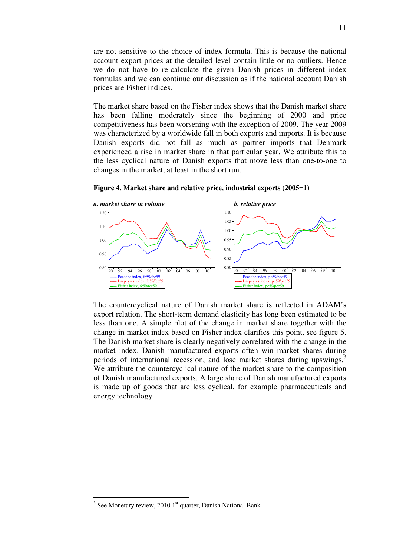are not sensitive to the choice of index formula. This is because the national account export prices at the detailed level contain little or no outliers. Hence we do not have to re-calculate the given Danish prices in different index formulas and we can continue our discussion as if the national account Danish prices are Fisher indices.

The market share based on the Fisher index shows that the Danish market share has been falling moderately since the beginning of 2000 and price competitiveness has been worsening with the exception of 2009. The year 2009 was characterized by a worldwide fall in both exports and imports. It is because Danish exports did not fall as much as partner imports that Denmark experienced a rise in market share in that particular year. We attribute this to the less cyclical nature of Danish exports that move less than one-to-one to changes in the market, at least in the short run.



**Figure 4. Market share and relative price, industrial exports (2005=1)** 

The countercyclical nature of Danish market share is reflected in ADAM's export relation. The short-term demand elasticity has long been estimated to be less than one. A simple plot of the change in market share together with the change in market index based on Fisher index clarifies this point, see figure 5. The Danish market share is clearly negatively correlated with the change in the market index. Danish manufactured exports often win market shares during periods of international recession, and lose market shares during upswings.<sup>3</sup> We attribute the countercyclical nature of the market share to the composition of Danish manufactured exports. A large share of Danish manufactured exports is made up of goods that are less cyclical, for example pharmaceuticals and energy technology.

-

 $3$  See Monetary review, 2010 1st quarter, Danish National Bank.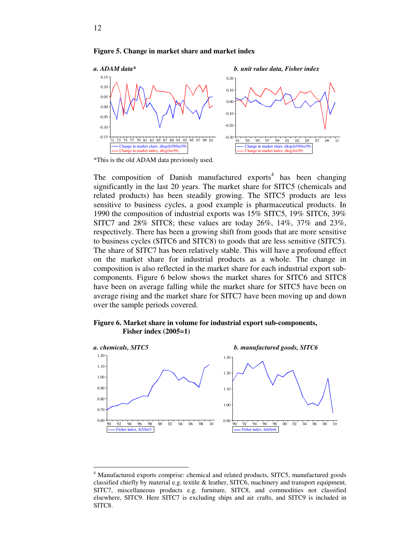#### **Figure 5. Change in market share and market index**



\*This is the old ADAM data previously used.

The composition of Danish manufactured exports<sup>4</sup> has been changing significantly in the last 20 years. The market share for SITC5 (chemicals and related products) has been steadily growing. The SITC5 products are less sensitive to business cycles, a good example is pharmaceutical products. In 1990 the composition of industrial exports was 15% SITC5, 19% SITC6, 39% SITC7 and 28% SITC8; these values are today 26%, 14%, 37% and 23%, respectively. There has been a growing shift from goods that are more sensitive to business cycles (SITC6 and SITC8) to goods that are less sensitive (SITC5). The share of SITC7 has been relatively stable. This will have a profound effect on the market share for industrial products as a whole. The change in composition is also reflected in the market share for each industrial export subcomponents. Figure 6 below shows the market shares for SITC6 and SITC8 have been on average falling while the market share for SITC5 have been on average rising and the market share for SITC7 have been moving up and down over the sample periods covered.

#### **Figure 6. Market share in volume for industrial export sub-components, Fisher index (2005=1)**



<u>.</u>

<sup>&</sup>lt;sup>4</sup> Manufactured exports comprise: chemical and related products, SITC5, manufactured goods classified chiefly by material e.g. textile & leather, SITC6, machinery and transport equipment, SITC7, miscellaneous products e.g. furniture, SITC8, and commodities not classified elsewhere, SITC9. Here SITC7 is excluding ships and air crafts, and SITC9 is included in SITC8.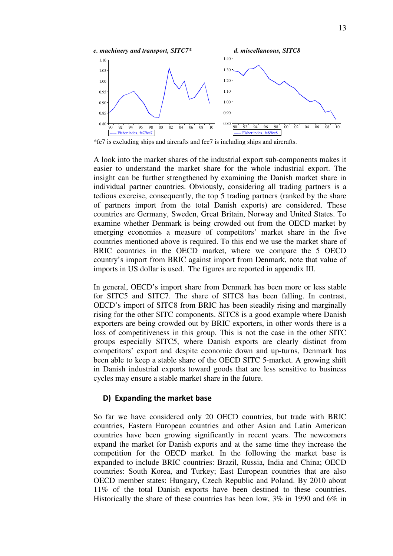

\*fe7 is excluding ships and aircrafts and fee7 is including ships and aircrafts.

A look into the market shares of the industrial export sub-components makes it easier to understand the market share for the whole industrial export. The insight can be further strengthened by examining the Danish market share in individual partner countries. Obviously, considering all trading partners is a tedious exercise, consequently, the top 5 trading partners (ranked by the share of partners import from the total Danish exports) are considered. These countries are Germany, Sweden, Great Britain, Norway and United States. To examine whether Denmark is being crowded out from the OECD market by emerging economies a measure of competitors' market share in the five countries mentioned above is required. To this end we use the market share of BRIC countries in the OECD market, where we compare the 5 OECD country's import from BRIC against import from Denmark, note that value of imports in US dollar is used. The figures are reported in appendix III.

In general, OECD's import share from Denmark has been more or less stable for SITC5 and SITC7. The share of SITC8 has been falling. In contrast, OECD's import of SITC8 from BRIC has been steadily rising and marginally rising for the other SITC components. SITC8 is a good example where Danish exporters are being crowded out by BRIC exporters, in other words there is a loss of competitiveness in this group. This is not the case in the other SITC groups especially SITC5, where Danish exports are clearly distinct from competitors' export and despite economic down and up-turns, Denmark has been able to keep a stable share of the OECD SITC 5-market. A growing shift in Danish industrial exports toward goods that are less sensitive to business cycles may ensure a stable market share in the future.

## D) Expanding the market base

So far we have considered only 20 OECD countries, but trade with BRIC countries, Eastern European countries and other Asian and Latin American countries have been growing significantly in recent years. The newcomers expand the market for Danish exports and at the same time they increase the competition for the OECD market. In the following the market base is expanded to include BRIC countries: Brazil, Russia, India and China; OECD countries: South Korea, and Turkey; East European countries that are also OECD member states: Hungary, Czech Republic and Poland. By 2010 about 11% of the total Danish exports have been destined to these countries. Historically the share of these countries has been low,  $3\%$  in 1990 and  $6\%$  in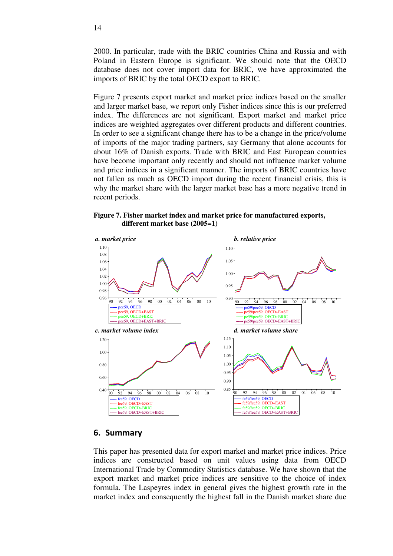2000. In particular, trade with the BRIC countries China and Russia and with Poland in Eastern Europe is significant. We should note that the OECD database does not cover import data for BRIC, we have approximated the imports of BRIC by the total OECD export to BRIC.

Figure 7 presents export market and market price indices based on the smaller and larger market base, we report only Fisher indices since this is our preferred index. The differences are not significant. Export market and market price indices are weighted aggregates over different products and different countries. In order to see a significant change there has to be a change in the price/volume of imports of the major trading partners, say Germany that alone accounts for about 16% of Danish exports. Trade with BRIC and East European countries have become important only recently and should not influence market volume and price indices in a significant manner. The imports of BRIC countries have not fallen as much as OECD import during the recent financial crisis, this is why the market share with the larger market base has a more negative trend in recent periods.

**Figure 7. Fisher market index and market price for manufactured exports, different market base (2005=1)** 



## 6. Summary

This paper has presented data for export market and market price indices. Price indices are constructed based on unit values using data from OECD International Trade by Commodity Statistics database. We have shown that the export market and market price indices are sensitive to the choice of index formula. The Laspeyres index in general gives the highest growth rate in the market index and consequently the highest fall in the Danish market share due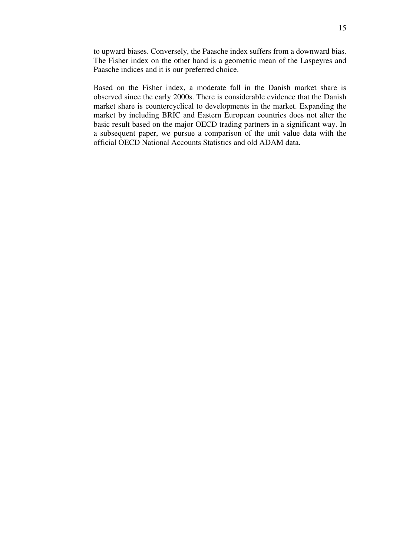to upward biases. Conversely, the Paasche index suffers from a downward bias. The Fisher index on the other hand is a geometric mean of the Laspeyres and Paasche indices and it is our preferred choice.

Based on the Fisher index, a moderate fall in the Danish market share is observed since the early 2000s. There is considerable evidence that the Danish market share is countercyclical to developments in the market. Expanding the market by including BRIC and Eastern European countries does not alter the basic result based on the major OECD trading partners in a significant way. In a subsequent paper, we pursue a comparison of the unit value data with the official OECD National Accounts Statistics and old ADAM data.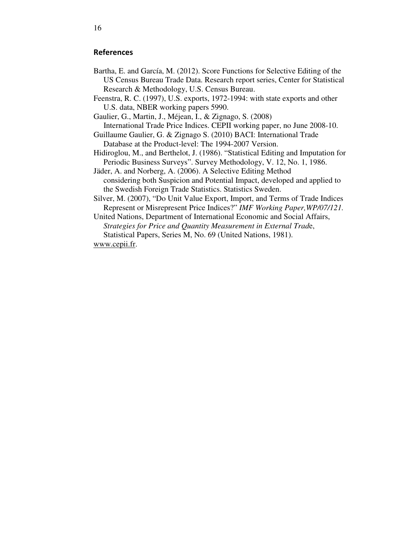# References

- Bartha, E. and García, M. (2012). Score Functions for Selective Editing of the US Census Bureau Trade Data. Research report series, Center for Statistical Research & Methodology, U.S. Census Bureau.
- Feenstra, R. C. (1997), U.S. exports, 1972-1994: with state exports and other U.S. data, NBER working papers 5990.
- Gaulier, G., Martin, J., Méjean, I., & Zignago, S. (2008) International Trade Price Indices. CEPII working paper, no June 2008-10.
- Guillaume Gaulier, G. & Zignago S. (2010) BACI: International Trade Database at the Product-level: The 1994-2007 Version.
- Hidiroglou, M., and Berthelot, J. (1986). "Statistical Editing and Imputation for Periodic Business Surveys". Survey Methodology, V. 12, No. 1, 1986.
- Jäder, A. and Norberg, A. (2006). A Selective Editing Method considering both Suspicion and Potential Impact, developed and applied to the Swedish Foreign Trade Statistics. Statistics Sweden.
- Silver, M. (2007), "Do Unit Value Export, Import, and Terms of Trade Indices Represent or Misrepresent Price Indices?" *IMF Working Paper,WP/07/121.*
- United Nations, Department of International Economic and Social Affairs, *Strategies for Price and Quantity Measurement in External Trad*e, Statistical Papers, Series M, No. 69 (United Nations, 1981). www.cepii.fr.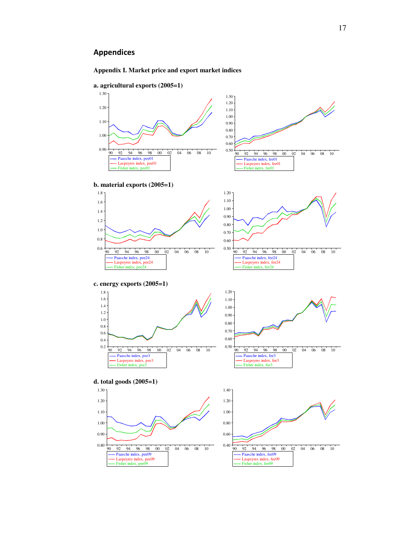# Appendices



**a. agricultural exports (2005=1)** 

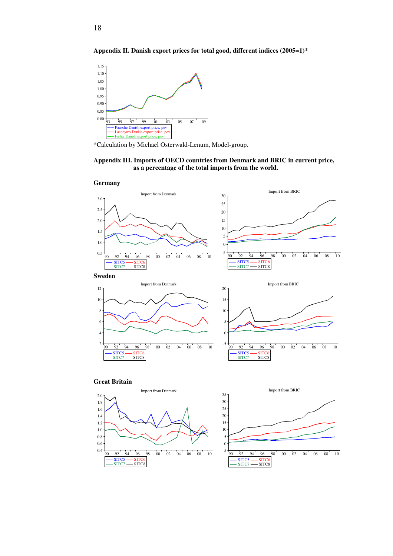



SITC5 - SITC6<br>SITC7 - SITC8  $-$  SITC7  $-$ 

18

\*Calculation by Michael Osterwald-Lenum, Model-group.

#### **Appendix III. Imports of OECD countries from Denmark and BRIC in current price, as a percentage of the total imports from the world.**



 $SITC5$   $\longrightarrow$   $SITC$  $-$  SITC7  $-$  SITC8